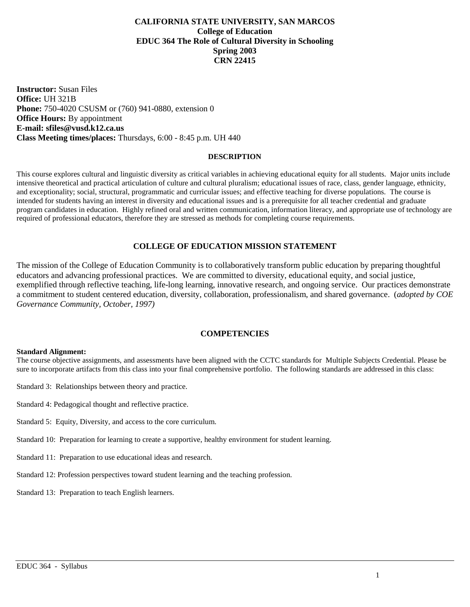### **CALIFORNIA STATE UNIVERSITY, SAN MARCOS College of Education EDUC 364 The Role of Cultural Diversity in Schooling Spring 2003 CRN 22415**

**Instructor:** Susan Files **Office:** UH 321B **Phone:** 750-4020 CSUSM or (760) 941-0880, extension 0 **Office Hours:** By appointment **E-mail: sfiles@vusd.k12.ca.us Class Meeting times/places:** Thursdays, 6:00 - 8:45 p.m. UH 440

### **DESCRIPTION**

This course explores cultural and linguistic diversity as critical variables in achieving educational equity for all students. Major units include intensive theoretical and practical articulation of culture and cultural pluralism; educational issues of race, class, gender language, ethnicity, and exceptionality; social, structural, programmatic and curricular issues; and effective teaching for diverse populations. The course is intended for students having an interest in diversity and educational issues and is a prerequisite for all teacher credential and graduate program candidates in education. Highly refined oral and written communication, information literacy, and appropriate use of technology are required of professional educators, therefore they are stressed as methods for completing course requirements.

### **COLLEGE OF EDUCATION MISSION STATEMENT**

The mission of the College of Education Community is to collaboratively transform public education by preparing thoughtful educators and advancing professional practices. We are committed to diversity, educational equity, and social justice, exemplified through reflective teaching, life-long learning, innovative research, and ongoing service. Our practices demonstrate a commitment to student centered education, diversity, collaboration, professionalism, and shared governance. (*adopted by COE Governance Community, October, 1997)*

### **COMPETENCIES**

#### **Standard Alignment:**

The course objective assignments, and assessments have been aligned with the CCTC standards for Multiple Subjects Credential. Please be sure to incorporate artifacts from this class into your final comprehensive portfolio. The following standards are addressed in this class:

- Standard 3: Relationships between theory and practice.
- Standard 4: Pedagogical thought and reflective practice.
- Standard 5: Equity, Diversity, and access to the core curriculum.
- Standard 10: Preparation for learning to create a supportive, healthy environment for student learning.
- Standard 11: Preparation to use educational ideas and research.
- Standard 12: Profession perspectives toward student learning and the teaching profession.
- Standard 13: Preparation to teach English learners.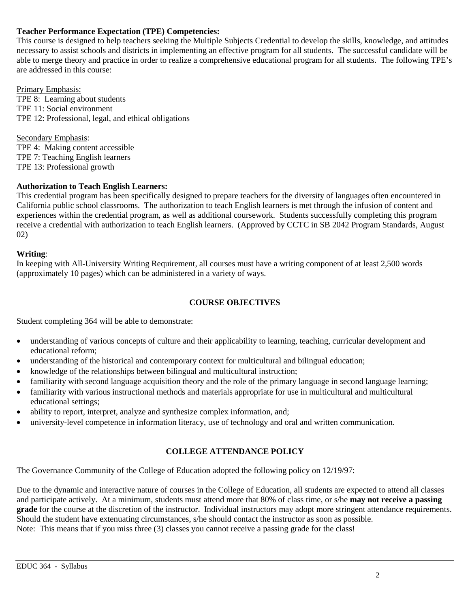# **Teacher Performance Expectation (TPE) Competencies:**

This course is designed to help teachers seeking the Multiple Subjects Credential to develop the skills, knowledge, and attitudes necessary to assist schools and districts in implementing an effective program for all students. The successful candidate will be able to merge theory and practice in order to realize a comprehensive educational program for all students. The following TPE's are addressed in this course:

Primary Emphasis: TPE 8: Learning about students TPE 11: Social environment TPE 12: Professional, legal, and ethical obligations

Secondary Emphasis: TPE 4: Making content accessible TPE 7: Teaching English learners TPE 13: Professional growth

## **Authorization to Teach English Learners:**

This credential program has been specifically designed to prepare teachers for the diversity of languages often encountered in California public school classrooms. The authorization to teach English learners is met through the infusion of content and experiences within the credential program, as well as additional coursework. Students successfully completing this program receive a credential with authorization to teach English learners. (Approved by CCTC in SB 2042 Program Standards, August 02)

## **Writing**:

In keeping with All-University Writing Requirement, all courses must have a writing component of at least 2,500 words (approximately 10 pages) which can be administered in a variety of ways.

## **COURSE OBJECTIVES**

Student completing 364 will be able to demonstrate:

- understanding of various concepts of culture and their applicability to learning, teaching, curricular development and educational reform;
- understanding of the historical and contemporary context for multicultural and bilingual education;
- knowledge of the relationships between bilingual and multicultural instruction;
- familiarity with second language acquisition theory and the role of the primary language in second language learning;
- familiarity with various instructional methods and materials appropriate for use in multicultural and multicultural educational settings;
- ability to report, interpret, analyze and synthesize complex information, and;
- university-level competence in information literacy, use of technology and oral and written communication.

# **COLLEGE ATTENDANCE POLICY**

The Governance Community of the College of Education adopted the following policy on 12/19/97:

Due to the dynamic and interactive nature of courses in the College of Education, all students are expected to attend all classes and participate actively. At a minimum, students must attend more that 80% of class time, or s/he **may not receive a passing grade** for the course at the discretion of the instructor. Individual instructors may adopt more stringent attendance requirements. Should the student have extenuating circumstances, s/he should contact the instructor as soon as possible. Note: This means that if you miss three (3) classes you cannot receive a passing grade for the class!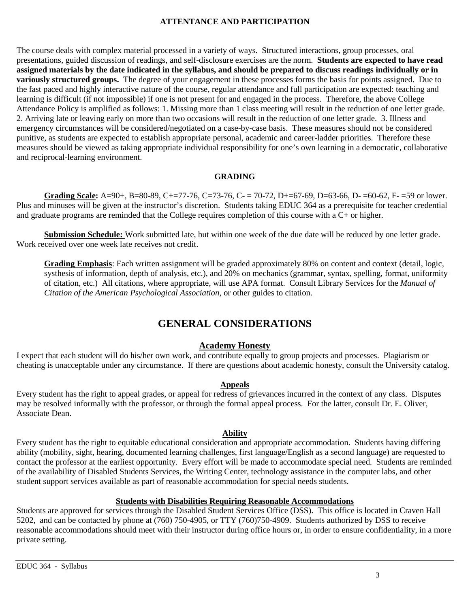# **ATTENTANCE AND PARTICIPATION**

The course deals with complex material processed in a variety of ways. Structured interactions, group processes, oral presentations, guided discussion of readings, and self-disclosure exercises are the norm. **Students are expected to have read assigned materials by the date indicated in the syllabus, and should be prepared to discuss readings individually or in variously structured groups.** The degree of your engagement in these processes forms the basis for points assigned. Due to the fast paced and highly interactive nature of the course, regular attendance and full participation are expected: teaching and learning is difficult (if not impossible) if one is not present for and engaged in the process. Therefore, the above College Attendance Policy is amplified as follows: 1. Missing more than 1 class meeting will result in the reduction of one letter grade. 2. Arriving late or leaving early on more than two occasions will result in the reduction of one letter grade. 3. Illness and emergency circumstances will be considered/negotiated on a case-by-case basis. These measures should not be considered punitive, as students are expected to establish appropriate personal, academic and career-ladder priorities. Therefore these measures should be viewed as taking appropriate individual responsibility for one's own learning in a democratic, collaborative and reciprocal-learning environment.

## **GRADING**

**Grading Scale:** A=90+, B=80-89, C+=77-76, C=73-76, C- = 70-72, D+=67-69, D=63-66, D- =60-62, F- =59 or lower. Plus and minuses will be given at the instructor's discretion. Students taking EDUC 364 as a prerequisite for teacher credential and graduate programs are reminded that the College requires completion of this course with a C+ or higher.

**Submission Schedule:** Work submitted late, but within one week of the due date will be reduced by one letter grade. Work received over one week late receives not credit.

**Grading Emphasis**: Each written assignment will be graded approximately 80% on content and context (detail, logic, systhesis of information, depth of analysis, etc.), and 20% on mechanics (grammar, syntax, spelling, format, uniformity of citation, etc.) All citations, where appropriate, will use APA format. Consult Library Services for the *Manual of Citation of the American Psychological Association,* or other guides to citation.

# **GENERAL CONSIDERATIONS**

# **Academy Honesty**

I expect that each student will do his/her own work, and contribute equally to group projects and processes. Plagiarism or cheating is unacceptable under any circumstance. If there are questions about academic honesty, consult the University catalog.

### **Appeals**

Every student has the right to appeal grades, or appeal for redress of grievances incurred in the context of any class. Disputes may be resolved informally with the professor, or through the formal appeal process. For the latter, consult Dr. E. Oliver, Associate Dean.

### **Ability**

Every student has the right to equitable educational consideration and appropriate accommodation. Students having differing ability (mobility, sight, hearing, documented learning challenges, first language/English as a second language) are requested to contact the professor at the earliest opportunity. Every effort will be made to accommodate special need. Students are reminded of the availability of Disabled Students Services, the Writing Center, technology assistance in the computer labs, and other student support services available as part of reasonable accommodation for special needs students.

### **Students with Disabilities Requiring Reasonable Accommodations**

Students are approved for services through the Disabled Student Services Office (DSS). This office is located in Craven Hall 5202, and can be contacted by phone at (760) 750-4905, or TTY (760)750-4909. Students authorized by DSS to receive reasonable accommodations should meet with their instructor during office hours or, in order to ensure confidentiality, in a more private setting.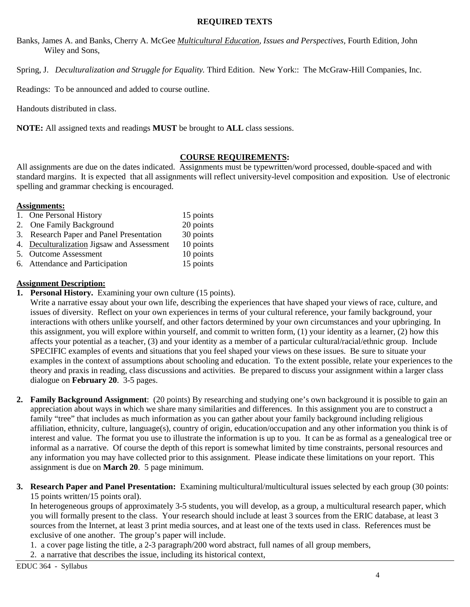## **REQUIRED TEXTS**

- Banks, James A. and Banks, Cherry A. McGee *Multicultural Education, Issues and Perspectives,* Fourth Edition, John Wiley and Sons,
- Spring, J. *Deculturalization and Struggle for Equality.* Third Edition. New York:: The McGraw-Hill Companies, Inc.

Readings: To be announced and added to course outline.

Handouts distributed in class.

**NOTE:** All assigned texts and readings **MUST** be brought to **ALL** class sessions.

## **COURSE REQUIREMENTS:**

All assignments are due on the dates indicated. Assignments must be typewritten/word processed, double-spaced and with standard margins. It is expected that all assignments will reflect university-level composition and exposition. Use of electronic spelling and grammar checking is encouraged.

## **Assignments:**

| 1. One Personal History                    | 15 points |
|--------------------------------------------|-----------|
| 2. One Family Background                   | 20 points |
| 3. Research Paper and Panel Presentation   | 30 points |
| 4. Deculturalization Jigsaw and Assessment | 10 points |
| 5. Outcome Assessment                      | 10 points |
| 6. Attendance and Participation            | 15 points |
|                                            |           |

## **Assignment Description:**

**1. Personal History.** Examining your own culture (15 points).

Write a narrative essay about your own life, describing the experiences that have shaped your views of race, culture, and issues of diversity. Reflect on your own experiences in terms of your cultural reference, your family background, your interactions with others unlike yourself, and other factors determined by your own circumstances and your upbringing. In this assignment, you will explore within yourself, and commit to written form, (1) your identity as a learner, (2) how this affects your potential as a teacher, (3) and your identity as a member of a particular cultural/racial/ethnic group. Include SPECIFIC examples of events and situations that you feel shaped your views on these issues. Be sure to situate your examples in the context of assumptions about schooling and education. To the extent possible, relate your experiences to the theory and praxis in reading, class discussions and activities. Be prepared to discuss your assignment within a larger class dialogue on **February 20**. 3-5 pages.

- **2. Family Background Assignment**: (20 points) By researching and studying one's own background it is possible to gain an appreciation about ways in which we share many similarities and differences. In this assignment you are to construct a family "tree" that includes as much information as you can gather about your family background including religious affiliation, ethnicity, culture, language(s), country of origin, education/occupation and any other information you think is of interest and value. The format you use to illustrate the information is up to you. It can be as formal as a genealogical tree or informal as a narrative. Of course the depth of this report is somewhat limited by time constraints, personal resources and any information you may have collected prior to this assignment. Please indicate these limitations on your report. This assignment is due on **March 20**. 5 page minimum.
- **3. Research Paper and Panel Presentation:** Examining multicultural/multicultural issues selected by each group (30 points: 15 points written/15 points oral).

In heterogeneous groups of approximately 3-5 students, you will develop, as a group, a multicultural research paper, which you will formally present to the class. Your research should include at least 3 sources from the ERIC database, at least 3 sources from the Internet, at least 3 print media sources, and at least one of the texts used in class. References must be exclusive of one another. The group's paper will include.

- 1. a cover page listing the title, a 2-3 paragraph/200 word abstract, full names of all group members,
- 2. a narrative that describes the issue, including its historical context,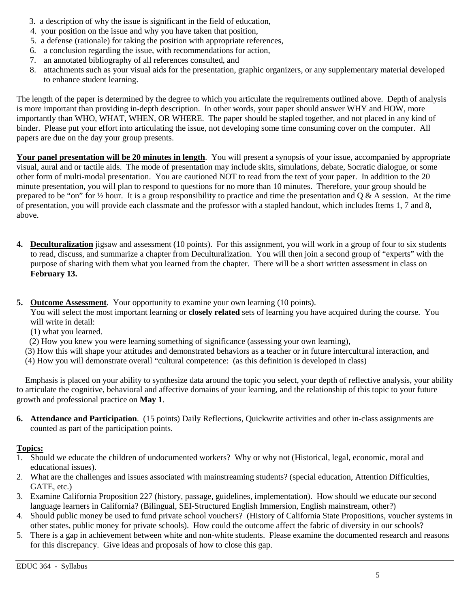- 3. a description of why the issue is significant in the field of education,
- 4. your position on the issue and why you have taken that position,
- 5. a defense (rationale) for taking the position with appropriate references,
- 6. a conclusion regarding the issue, with recommendations for action,
- 7. an annotated bibliography of all references consulted, and
- 8. attachments such as your visual aids for the presentation, graphic organizers, or any supplementary material developed to enhance student learning.

The length of the paper is determined by the degree to which you articulate the requirements outlined above. Depth of analysis is more important than providing in-depth description. In other words, your paper should answer WHY and HOW, more importantly than WHO, WHAT, WHEN, OR WHERE. The paper should be stapled together, and not placed in any kind of binder. Please put your effort into articulating the issue, not developing some time consuming cover on the computer. All papers are due on the day your group presents.

**Your panel presentation will be 20 minutes in length**. You will present a synopsis of your issue, accompanied by appropriate visual, aural and or tactile aids. The mode of presentation may include skits, simulations, debate, Socratic dialogue, or some other form of multi-modal presentation. You are cautioned NOT to read from the text of your paper. In addition to the 20 minute presentation, you will plan to respond to questions for no more than 10 minutes. Therefore, your group should be prepared to be "on" for  $\frac{1}{2}$  hour. It is a group responsibility to practice and time the presentation and Q & A session. At the time of presentation, you will provide each classmate and the professor with a stapled handout, which includes Items 1, 7 and 8, above.

- **4. Deculturalization** jigsaw and assessment (10 points). For this assignment, you will work in a group of four to six students to read, discuss, and summarize a chapter from Deculturalization. You will then join a second group of "experts" with the purpose of sharing with them what you learned from the chapter. There will be a short written assessment in class on **February 13.**
- **5. Outcome Assessment**. Your opportunity to examine your own learning (10 points).

You will select the most important learning or **closely related** sets of learning you have acquired during the course. You will write in detail:

(1) what you learned.

(2) How you knew you were learning something of significance (assessing your own learning),

 (3) How this will shape your attitudes and demonstrated behaviors as a teacher or in future intercultural interaction, and (4) How you will demonstrate overall "cultural competence: (as this definition is developed in class)

 Emphasis is placed on your ability to synthesize data around the topic you select, your depth of reflective analysis, your ability to articulate the cognitive, behavioral and affective domains of your learning, and the relationship of this topic to your future growth and professional practice on **May 1**.

**6. Attendance and Participation**. (15 points) Daily Reflections, Quickwrite activities and other in-class assignments are counted as part of the participation points.

# **Topics:**

- 1. Should we educate the children of undocumented workers? Why or why not (Historical, legal, economic, moral and educational issues).
- 2. What are the challenges and issues associated with mainstreaming students? (special education, Attention Difficulties, GATE, etc.)
- 3. Examine California Proposition 227 (history, passage, guidelines, implementation). How should we educate our second language learners in California? (Bilingual, SEI-Structured English Immersion, English mainstream, other?)
- 4. Should public money be used to fund private school vouchers? (History of California State Propositions, voucher systems in other states, public money for private schools). How could the outcome affect the fabric of diversity in our schools?
- 5. There is a gap in achievement between white and non-white students. Please examine the documented research and reasons for this discrepancy. Give ideas and proposals of how to close this gap.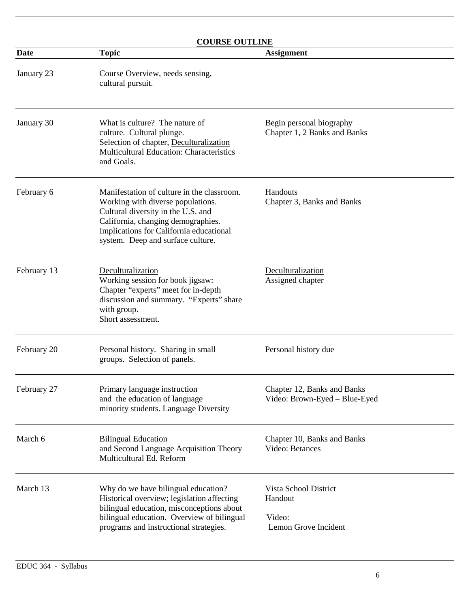| <b>COURSE OUTLINE</b> |                                                                                                                                                                                                                                             |                                                                    |  |  |  |  |
|-----------------------|---------------------------------------------------------------------------------------------------------------------------------------------------------------------------------------------------------------------------------------------|--------------------------------------------------------------------|--|--|--|--|
| <b>Date</b>           | <b>Topic</b>                                                                                                                                                                                                                                | <b>Assignment</b>                                                  |  |  |  |  |
| January 23            | Course Overview, needs sensing,<br>cultural pursuit.                                                                                                                                                                                        |                                                                    |  |  |  |  |
| January 30            | What is culture? The nature of<br>culture. Cultural plunge.<br>Selection of chapter, Deculturalization<br><b>Multicultural Education: Characteristics</b><br>and Goals.                                                                     | Begin personal biography<br>Chapter 1, 2 Banks and Banks           |  |  |  |  |
| February 6            | Manifestation of culture in the classroom.<br>Working with diverse populations.<br>Cultural diversity in the U.S. and<br>California, changing demographies.<br>Implications for California educational<br>system. Deep and surface culture. | Handouts<br>Chapter 3, Banks and Banks                             |  |  |  |  |
| February 13           | Deculturalization<br>Working session for book jigsaw:<br>Chapter "experts" meet for in-depth<br>discussion and summary. "Experts" share<br>with group.<br>Short assessment.                                                                 | Deculturalization<br>Assigned chapter                              |  |  |  |  |
| February 20           | Personal history. Sharing in small<br>groups. Selection of panels.                                                                                                                                                                          | Personal history due                                               |  |  |  |  |
| February 27           | Primary language instruction<br>and the education of language<br>minority students. Language Diversity                                                                                                                                      | Chapter 12, Banks and Banks<br>Video: Brown-Eyed - Blue-Eyed       |  |  |  |  |
| March 6               | <b>Bilingual Education</b><br>and Second Language Acquisition Theory<br>Multicultural Ed. Reform                                                                                                                                            | Chapter 10, Banks and Banks<br>Video: Betances                     |  |  |  |  |
| March 13              | Why do we have bilingual education?<br>Historical overview; legislation affecting<br>bilingual education, misconceptions about<br>bilingual education. Overview of bilingual<br>programs and instructional strategies.                      | Vista School District<br>Handout<br>Video:<br>Lemon Grove Incident |  |  |  |  |